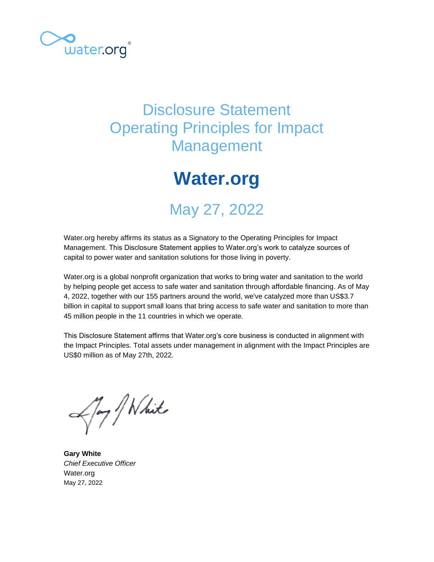

## Disclosure Statement Operating Principles for Impact Management

# **Water.org**

# May 27, 2022

Water.org hereby affirms its status as a Signatory to the Operating Principles for Impact Management. This Disclosure Statement applies to Water.org's work to catalyze sources of capital to power water and sanitation solutions for those living in poverty.

Water.org is a global nonprofit organization that works to bring water and sanitation to the world by helping people get access to safe water and sanitation through affordable financing. As of May 4, 2022, together with our 155 partners around the world, we've catalyzed more than US\$3.7 billion in capital to support small loans that bring access to safe water and sanitation to more than 45 million people in the 11 countries in which we operate.

This Disclosure Statement affirms that Water.org's core business is conducted in alignment with the Impact Principles. Total assets under management in alignment with the Impact Principles are US\$0 million as of May 27th, 2022.

Any / White

**Gary White** *Chief Executive Officer* Water.org May 27, 2022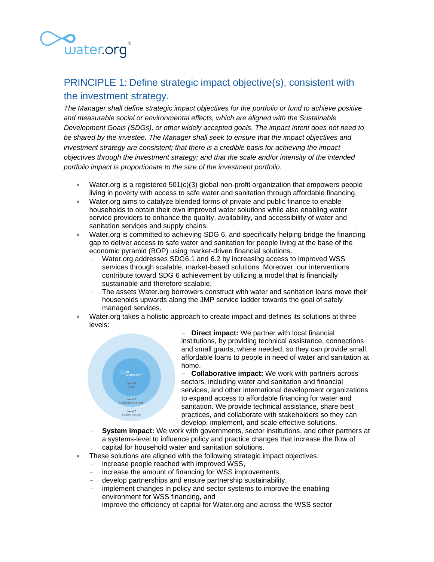

## PRINCIPLE 1: Define strategic impact objective(s), consistent with the investment strategy.

*The Manager shall define strategic impact objectives for the portfolio or fund to achieve positive and measurable social or environmental effects, which are aligned with the Sustainable Development Goals (SDGs), or other widely accepted goals. The impact intent does not need to be shared by the investee. The Manager shall seek to ensure that the impact objectives and investment strategy are consistent; that there is a credible basis for achieving the impact objectives through the investment strategy; and that the scale and/or intensity of the intended portfolio impact is proportionate to the size of the investment portfolio.*

- Water.org is a registered  $501(c)(3)$  global non-profit organization that empowers people living in poverty with access to safe water and sanitation through affordable financing.
- Water.org aims to catalyze blended forms of private and public finance to enable households to obtain their own improved water solutions while also enabling water service providers to enhance the quality, availability, and accessibility of water and sanitation services and supply chains.
- Water.org is committed to achieving SDG 6, and specifically helping bridge the financing gap to deliver access to safe water and sanitation for people living at the base of the economic pyramid (BOP) using market-driven financial solutions.
	- Water.org addresses SDG6.1 and 6.2 by increasing access to improved WSS services through scalable, market-based solutions. Moreover, our interventions contribute toward SDG 6 achievement by utilizing a model that is financially sustainable and therefore scalable.
	- The assets Water.org borrowers construct with water and sanitation loans move their households upwards along the JMP service ladder towards the goal of safely managed services.
- Water.org takes a holistic approach to create impact and defines its solutions at three levels:



**Direct impact:** We partner with local financial institutions, by providing technical assistance, connections and small grants, where needed, so they can provide small, affordable loans to people in need of water and sanitation at home.

- **Collaborative impact:** We work with partners across sectors, including water and sanitation and financial services, and other international development organizations to expand access to affordable financing for water and sanitation. We provide technical assistance, share best practices, and collaborate with stakeholders so they can develop, implement, and scale effective solutions.

- **System impact:** We work with governments, sector institutions, and other partners at a systems-level to influence policy and practice changes that increase the flow of capital for household water and sanitation solutions.
- These solutions are aligned with the following strategic impact objectives:
	- increase people reached with improved WSS,
		- increase the amount of financing for WSS improvements,
		- develop partnerships and ensure partnership sustainability,
		- implement changes in policy and sector systems to improve the enabling environment for WSS financing, and
		- improve the efficiency of capital for Water.org and across the WSS sector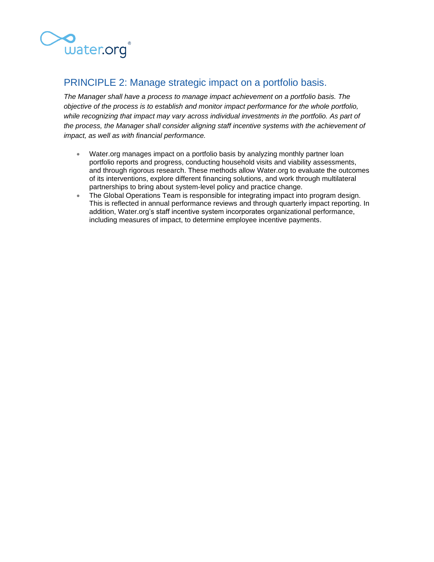

## PRINCIPLE 2: Manage strategic impact on a portfolio basis.

*The Manager shall have a process to manage impact achievement on a portfolio basis. The objective of the process is to establish and monitor impact performance for the whole portfolio,*  while recognizing that impact may vary across individual investments in the portfolio. As part of *the process, the Manager shall consider aligning staff incentive systems with the achievement of impact, as well as with financial performance.*

- Water.org manages impact on a portfolio basis by analyzing monthly partner loan portfolio reports and progress, conducting household visits and viability assessments, and through rigorous research. These methods allow Water.org to evaluate the outcomes of its interventions, explore different financing solutions, and work through multilateral partnerships to bring about system-level policy and practice change.
- The Global Operations Team is responsible for integrating impact into program design. This is reflected in annual performance reviews and through quarterly impact reporting. In addition, Water.org's staff incentive system incorporates organizational performance, including measures of impact, to determine employee incentive payments.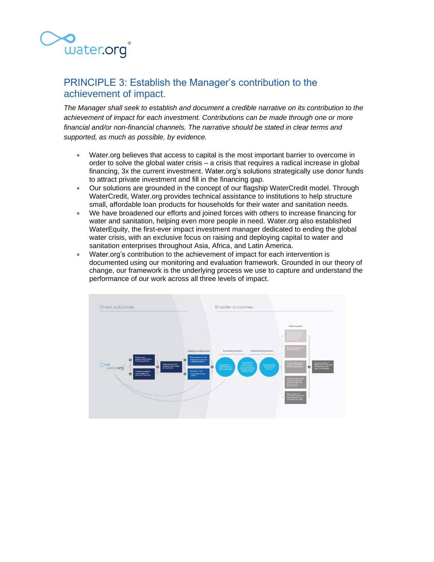

## PRINCIPLE 3: Establish the Manager's contribution to the achievement of impact.

*The Manager shall seek to establish and document a credible narrative on its contribution to the achievement of impact for each investment. Contributions can be made through one or more financial and/or non-financial channels. The narrative should be stated in clear terms and supported, as much as possible, by evidence.*

- Water.org believes that access to capital is the most important barrier to overcome in order to solve the global water crisis – a crisis that requires a radical increase in global financing, 3x the current investment. Water.org's solutions strategically use donor funds to attract private investment and fill in the financing gap.
- Our solutions are grounded in the concept of our flagship WaterCredit model. Through WaterCredit, Water.org provides technical assistance to institutions to help structure small, affordable loan products for households for their water and sanitation needs.
- We have broadened our efforts and joined forces with others to increase financing for water and sanitation, helping even more people in need. Water.org also established WaterEquity, the first-ever impact investment manager dedicated to ending the global water crisis, with an exclusive focus on raising and deploying capital to water and sanitation enterprises throughout Asia, Africa, and Latin America.
- Water.org's contribution to the achievement of impact for each intervention is documented using our monitoring and evaluation framework. Grounded in our theory of change, our framework is the underlying process we use to capture and understand the performance of our work across all three levels of impact.

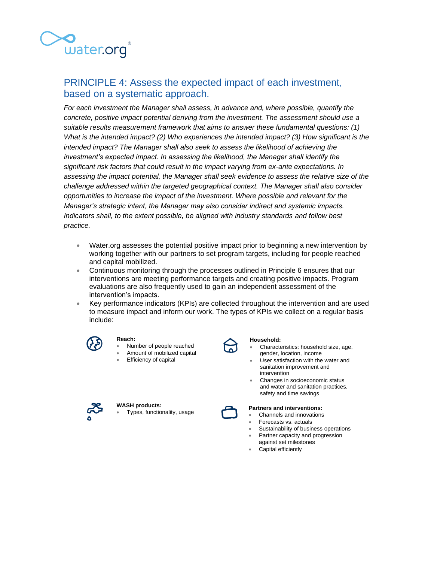

## PRINCIPLE 4: Assess the expected impact of each investment, based on a systematic approach.

*For each investment the Manager shall assess, in advance and, where possible, quantify the concrete, positive impact potential deriving from the investment. The assessment should use a suitable results measurement framework that aims to answer these fundamental questions: (1) What is the intended impact? (2) Who experiences the intended impact? (3) How significant is the intended impact? The Manager shall also seek to assess the likelihood of achieving the investment's expected impact. In assessing the likelihood, the Manager shall identify the significant risk factors that could result in the impact varying from ex-ante expectations. In assessing the impact potential, the Manager shall seek evidence to assess the relative size of the challenge addressed within the targeted geographical context. The Manager shall also consider opportunities to increase the impact of the investment. Where possible and relevant for the Manager's strategic intent, the Manager may also consider indirect and systemic impacts. Indicators shall, to the extent possible, be aligned with industry standards and follow best practice.*

- Water.org assesses the potential positive impact prior to beginning a new intervention by working together with our partners to set program targets, including for people reached and capital mobilized.
- Continuous monitoring through the processes outlined in Principle 6 ensures that our interventions are meeting performance targets and creating positive impacts. Program evaluations are also frequently used to gain an independent assessment of the intervention's impacts.
- Key performance indicators (KPIs) are collected throughout the intervention and are used to measure impact and inform our work. The types of KPIs we collect on a regular basis  $\mathsf{include}:\mathsf{include}}$  indicates in  $\mathsf{include}}$  are collected on a regular basis and used to measure and information of  $\mathsf{A}$



#### **Reach:**  •

•

Number of people reached

Types, functionality, usage

- •Amount of mobilized capital
- •Efficiency of capital

**WASH products:** 



### **Household:**

- • Characteristics: household size, age, gender, location, income
- • User satisfaction with the water and sanitation improvement and intervention
- • Changes in socioeconomic status and water and sanitation practices, safety and time savings

#### **Partners and interventions:**

- Channels and innovations
- Forecasts vs. actuals
- Sustainability of business operations
- Partner capacity and progression against set milestones
- Capital efficiently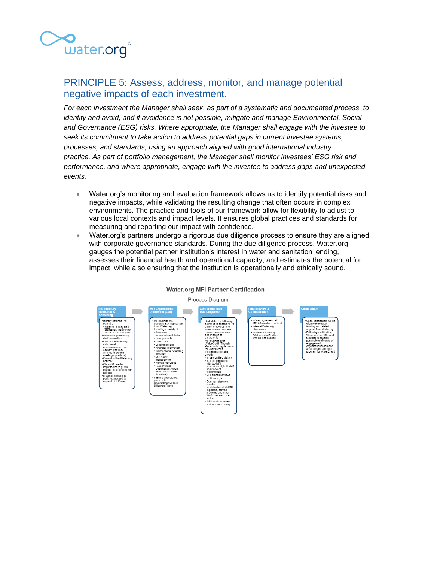

### PRINCIPLE 5: Assess, address, monitor, and manage potential negative impacts of each investment.

*For each investment the Manager shall seek, as part of a systematic and documented process, to identify and avoid, and if avoidance is not possible, mitigate and manage Environmental, Social and Governance (ESG) risks. Where appropriate, the Manager shall engage with the investee to seek its commitment to take action to address potential gaps in current investee systems, processes, and standards, using an approach aligned with good international industry practice. As part of portfolio management, the Manager shall monitor investees' ESG risk and performance, and where appropriate, engage with the investee to address gaps and unexpected events.*

- Water.org's monitoring and evaluation framework allows us to identify potential risks and negative impacts, while validating the resulting change that often occurs in complex environments. The practice and tools of our framework allow for flexibility to adjust to various local contexts and impact levels. It ensures global practices and standards for measuring and reporting our impact with confidence.
- Water.org's partners undergo a rigorous due diligence process to ensure they are aligned with corporate governance standards. During the due diligence process, Water.org gauges the potential partner institution's interest in water and sanitation lending, assesses their financial health and operational capacity, and estimates the potential for impact, while also ensuring that the institution is operationally and ethically sound.



### **Water.org MFI Partner Certification**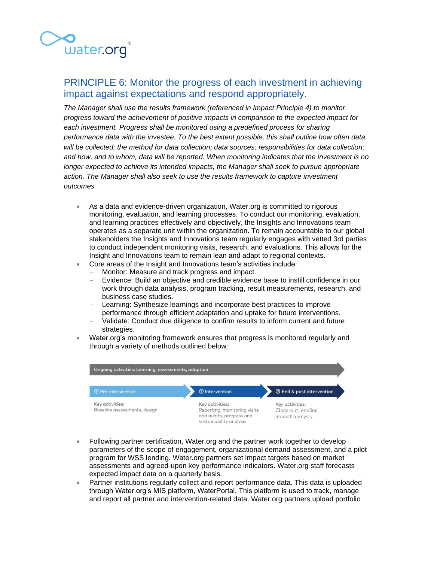

## PRINCIPLE 6: Monitor the progress of each investment in achieving impact against expectations and respond appropriately.

*The Manager shall use the results framework (referenced in Impact Principle 4) to monitor progress toward the achievement of positive impacts in comparison to the expected impact for each investment. Progress shall be monitored using a predefined process for sharing performance data with the investee. To the best extent possible, this shall outline how often data will be collected; the method for data collection; data sources; responsibilities for data collection; and how, and to whom, data will be reported. When monitoring indicates that the investment is no longer expected to achieve its intended impacts, the Manager shall seek to pursue appropriate action. The Manager shall also seek to use the results framework to capture investment outcomes.*

- As a data and evidence-driven organization, Water.org is committed to rigorous monitoring, evaluation, and learning processes. To conduct our monitoring, evaluation, and learning practices effectively and objectively, the Insights and Innovations team operates as a separate unit within the organization. To remain accountable to our global stakeholders the Insights and Innovations team regularly engages with vetted 3rd parties to conduct independent monitoring visits, research, and evaluations. This allows for the Insight and Innovations team to remain lean and adapt to regional contexts.
- Core areas of the Insight and Innovations team's activities include:
	- Monitor: Measure and track progress and impact.
	- Evidence: Build an objective and credible evidence base to instill confidence in our work through data analysis, program tracking, result measurements, research, and business case studies.
	- Learning: Synthesize learnings and incorporate best practices to improve performance through efficient adaptation and uptake for future interventions.
	- Validate: Conduct due diligence to confirm results to inform current and future strategies.
- Water.org's monitoring framework ensures that progress is monitored regularly and through a variety of methods outlined below:



- Following partner certification, Water.org and the partner work together to develop parameters of the scope of engagement, organizational demand assessment, and a pilot program for WSS lending. Water.org partners set impact targets based on market assessments and agreed-upon key performance indicators. Water.org staff forecasts expected impact data on a quarterly basis.
- Partner institutions regularly collect and report performance data. This data is uploaded through Water.org's MIS platform, WaterPortal. This platform is used to track, manage and report all partner and intervention-related data. Water.org partners upload portfolio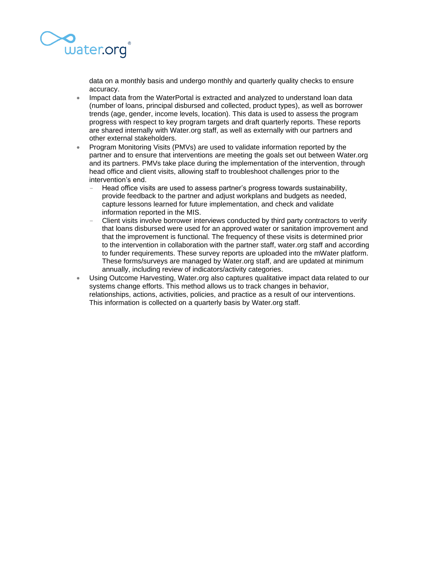

data on a monthly basis and undergo monthly and quarterly quality checks to ensure accuracy.

- Impact data from the WaterPortal is extracted and analyzed to understand loan data (number of loans, principal disbursed and collected, product types), as well as borrower trends (age, gender, income levels, location). This data is used to assess the program progress with respect to key program targets and draft quarterly reports. These reports are shared internally with Water.org staff, as well as externally with our partners and other external stakeholders.
- Program Monitoring Visits (PMVs) are used to validate information reported by the partner and to ensure that interventions are meeting the goals set out between Water.org and its partners. PMVs take place during the implementation of the intervention, through head office and client visits, allowing staff to troubleshoot challenges prior to the intervention's end.
	- Head office visits are used to assess partner's progress towards sustainability, provide feedback to the partner and adjust workplans and budgets as needed, capture lessons learned for future implementation, and check and validate information reported in the MIS.
	- Client visits involve borrower interviews conducted by third party contractors to verify that loans disbursed were used for an approved water or sanitation improvement and that the improvement is functional. The frequency of these visits is determined prior to the intervention in collaboration with the partner staff, water.org staff and according to funder requirements. These survey reports are uploaded into the mWater platform. These forms/surveys are managed by Water.org staff, and are updated at minimum annually, including review of indicators/activity categories.
- Using Outcome Harvesting, Water.org also captures qualitative impact data related to our systems change efforts. This method allows us to track changes in behavior, relationships, actions, activities, policies, and practice as a result of our interventions. This information is collected on a quarterly basis by Water.org staff.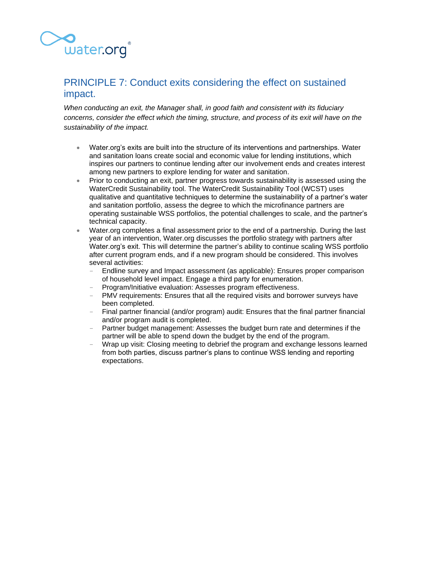

## PRINCIPLE 7: Conduct exits considering the effect on sustained impact.

*When conducting an exit, the Manager shall, in good faith and consistent with its fiduciary concerns, consider the effect which the timing, structure, and process of its exit will have on the sustainability of the impact.*

- Water.org's exits are built into the structure of its interventions and partnerships. Water and sanitation loans create social and economic value for lending institutions, which inspires our partners to continue lending after our involvement ends and creates interest among new partners to explore lending for water and sanitation.
- Prior to conducting an exit, partner progress towards sustainability is assessed using the WaterCredit Sustainability tool. The WaterCredit Sustainability Tool (WCST) uses qualitative and quantitative techniques to determine the sustainability of a partner's water and sanitation portfolio, assess the degree to which the microfinance partners are operating sustainable WSS portfolios, the potential challenges to scale, and the partner's technical capacity.
- Water.org completes a final assessment prior to the end of a partnership. During the last year of an intervention, Water.org discusses the portfolio strategy with partners after Water.org's exit. This will determine the partner's ability to continue scaling WSS portfolio after current program ends, and if a new program should be considered. This involves several activities:
	- Endline survey and Impact assessment (as applicable): Ensures proper comparison of household level impact. Engage a third party for enumeration.
	- Program/Initiative evaluation: Assesses program effectiveness.
	- PMV requirements: Ensures that all the required visits and borrower surveys have been completed.
	- Final partner financial (and/or program) audit: Ensures that the final partner financial and/or program audit is completed.
	- Partner budget management: Assesses the budget burn rate and determines if the partner will be able to spend down the budget by the end of the program.
	- Wrap up visit: Closing meeting to debrief the program and exchange lessons learned from both parties, discuss partner's plans to continue WSS lending and reporting expectations.